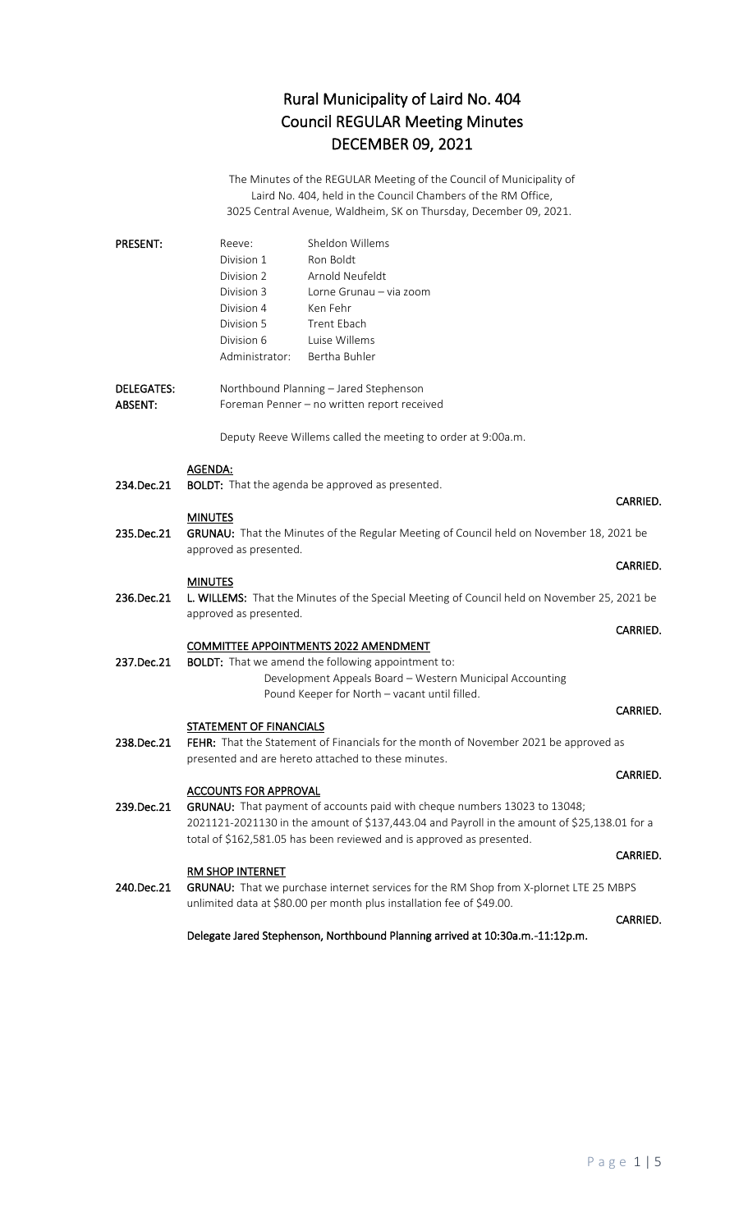## Rural Municipality of Laird No. 404 Council REGULAR Meeting Minutes DECEMBER 09, 2021

The Minutes of the REGULAR Meeting of the Council of Municipality of Laird No. 404, held in the Council Chambers of the RM Office, 3025 Central Avenue, Waldheim, SK on Thursday, December 09, 2021.

| <b>PRESENT:</b>                     | Sheldon Willems<br>Reeve:<br>Division 1<br>Ron Boldt<br>Arnold Neufeldt<br>Division 2<br>Division 3<br>Lorne Grunau - via zoom<br>Division 4<br>Ken Fehr<br><b>Trent Ebach</b><br>Division 5<br>Luise Willems<br>Division 6<br>Bertha Buhler<br>Administrator: |                 |
|-------------------------------------|----------------------------------------------------------------------------------------------------------------------------------------------------------------------------------------------------------------------------------------------------------------|-----------------|
| <b>DELEGATES:</b><br><b>ABSENT:</b> | Northbound Planning - Jared Stephenson<br>Foreman Penner - no written report received                                                                                                                                                                          |                 |
|                                     | Deputy Reeve Willems called the meeting to order at 9:00a.m.                                                                                                                                                                                                   |                 |
| 234.Dec.21                          | AGENDA:<br><b>BOLDT:</b> That the agenda be approved as presented.                                                                                                                                                                                             | CARRIED.        |
| 235.Dec.21                          | <b>MINUTES</b><br>GRUNAU: That the Minutes of the Regular Meeting of Council held on November 18, 2021 be<br>approved as presented.                                                                                                                            |                 |
|                                     | <b>MINUTES</b>                                                                                                                                                                                                                                                 | CARRIED.        |
| 236.Dec.21                          | L. WILLEMS: That the Minutes of the Special Meeting of Council held on November 25, 2021 be<br>approved as presented.                                                                                                                                          |                 |
|                                     |                                                                                                                                                                                                                                                                | CARRIED.        |
| 237.Dec.21                          | <b>COMMITTEE APPOINTMENTS 2022 AMENDMENT</b><br><b>BOLDT:</b> That we amend the following appointment to:<br>Development Appeals Board - Western Municipal Accounting<br>Pound Keeper for North - vacant until filled.                                         |                 |
|                                     | <b>STATEMENT OF FINANCIALS</b>                                                                                                                                                                                                                                 | CARRIED.        |
| 238.Dec.21                          | FEHR: That the Statement of Financials for the month of November 2021 be approved as<br>presented and are hereto attached to these minutes.                                                                                                                    |                 |
|                                     | <b>ACCOUNTS FOR APPROVAL</b>                                                                                                                                                                                                                                   | <b>CARRIED.</b> |
| 239.Dec.21                          | GRUNAU: That payment of accounts paid with cheque numbers 13023 to 13048;<br>2021121-2021130 in the amount of \$137,443.04 and Payroll in the amount of \$25,138.01 for a<br>total of \$162,581.05 has been reviewed and is approved as presented.             |                 |
|                                     | RM SHOP INTERNET                                                                                                                                                                                                                                               | CARRIED.        |
| 240.Dec.21                          | GRUNAU: That we purchase internet services for the RM Shop from X-plornet LTE 25 MBPS<br>unlimited data at \$80.00 per month plus installation fee of \$49.00.                                                                                                 |                 |
|                                     | Delegate Jared Stephenson, Northbound Planning arrived at 10:30a.m.-11:12p.m.                                                                                                                                                                                  | CARRIED.        |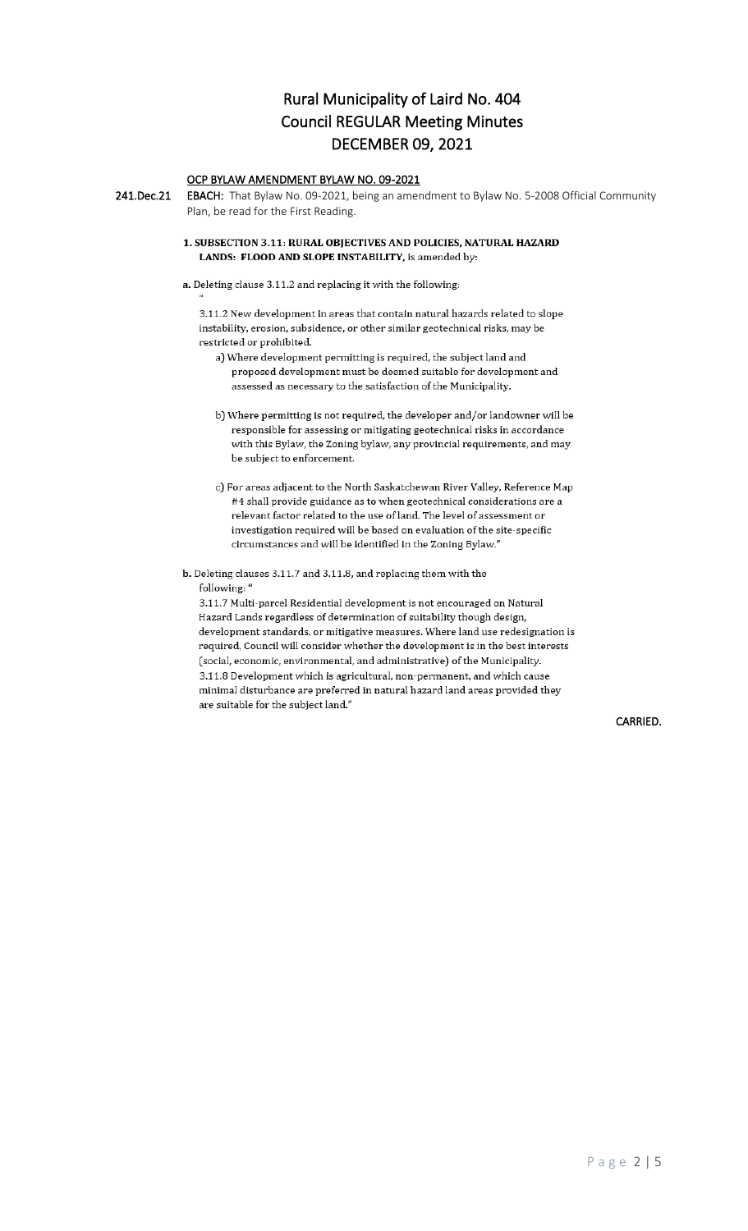## Rural Municipality of Laird No. 404 Council REGULAR Meeting Minutes DECEMBER 09, 2021

## OCP BYLAW AMENDMENT BYLAW NO. 09-2021

241.Dec.21 EBACH: That Bylaw No. 09-2021, being an amendment to Bylaw No. 5-2008 Official Community Plan, be read for the First Reading.

### 1. SUBSECTION 3.11: RURAL OBJECTIVES AND POLICIES, NATURAL HAZARD LANDS: FLOOD AND SLOPE INSTABILITY, is amended by:

### a. Deleting clause 3.11.2 and replacing it with the following:

3.11.2 New development in areas that contain natural hazards related to slope instability, erosion, subsidence, or other similar geotechnical risks, may be restricted or prohibited.

- a) Where development permitting is required, the subject land and proposed development must be deemed suitable for development and assessed as necessary to the satisfaction of the Municipality.
- b) Where permitting is not required, the developer and/or landowner will be responsible for assessing or mitigating geotechnical risks in accordance with this Bylaw, the Zoning bylaw, any provincial requirements, and may be subject to enforcement.
- c) For areas adjacent to the North Saskatchewan River Valley, Reference Map #4 shall provide guidance as to when geotechnical considerations are a relevant factor related to the use of land. The level of assessment or investigation required will be based on evaluation of the site-specific circumstances and will be identified in the Zoning Bylaw."
- b. Deleting clauses 3.11.7 and 3.11.8, and replacing them with the following: "

3.11.7 Multi-parcel Residential development is not encouraged on Natural Hazard Lands regardless of determination of suitability though design, development standards, or mitigative measures. Where land use redesignation is required, Council will consider whether the development is in the best interests (social, economic, environmental, and administrative) of the Municipality. 3.11.8 Development which is agricultural, non-permanent, and which cause minimal disturbance are preferred in natural hazard land areas provided they are suitable for the subject land."

CARRIED.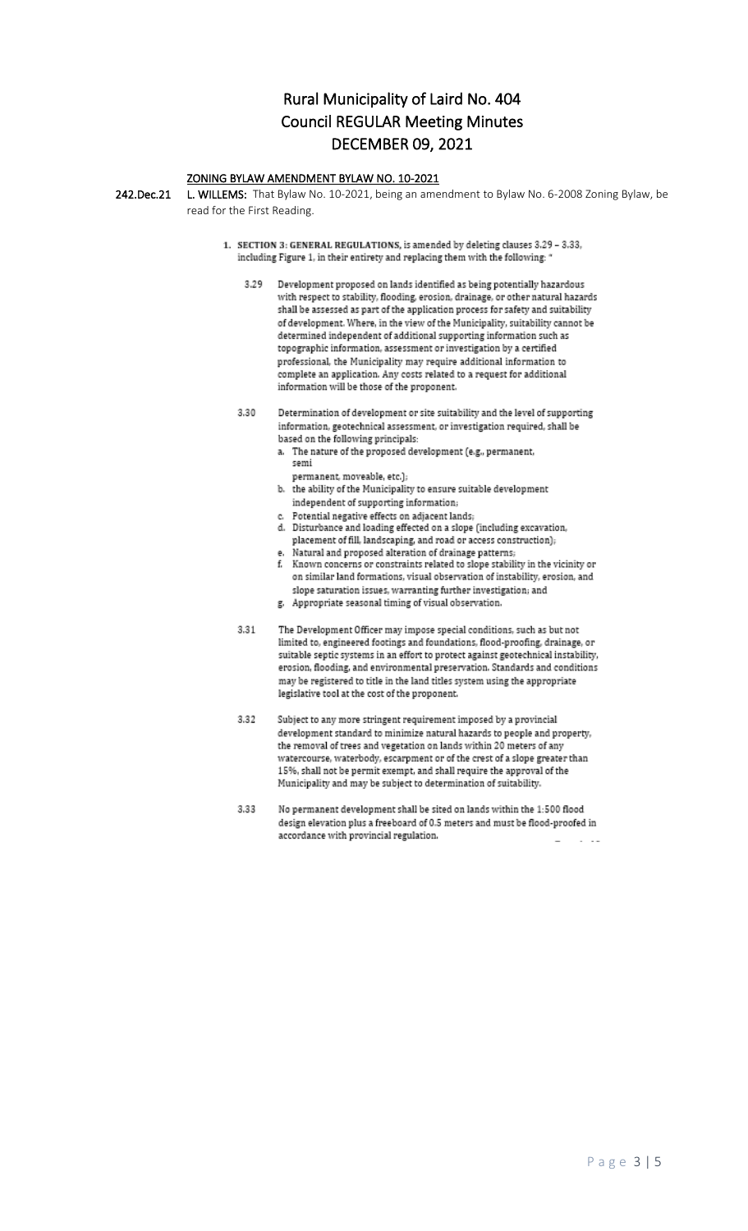## Rural Municipality of Laird No. 404 **Council REGULAR Meeting Minutes DECEMBER 09, 2021**

## ZONING BYLAW AMENDMENT BYLAW NO. 10-2021

242.Dec.21 L. WILLEMS: That Bylaw No. 10-2021, being an amendment to Bylaw No. 6-2008 Zoning Bylaw, be read for the First Reading.

- 1. SECTION 3: GENERAL REGULATIONS, is amended by deleting clauses 3.29 3.33, including Figure 1, in their entirety and replacing them with the following: '
	- 3.29 Development proposed on lands identified as being potentially hazardous with respect to stability, flooding, erosion, drainage, or other natural hazards shall be assessed as part of the application process for safety and suitability of development. Where, in the view of the Municipality, suitability cannot be determined independent of additional supporting information such as topographic information, assessment or investigation by a certified professional, the Municipality may require additional information to complete an application. Any costs related to a request for additional information will be those of the proponent.
	- 3.30 Determination of development or site suitability and the level of supporting information, geotechnical assessment, or investigation required, shall be based on the following principals:
		- a. The nature of the proposed development (e.g., permanent, semi
			- permanent, moveable, etc.);
		- b. the ability of the Municipality to ensure suitable development independent of supporting information;
		- c. Potential negative effects on adjacent lands;
		- d. Disturbance and loading effected on a slope (including excavation, placement of fill, landscaping, and road or access construction);
		- e. Natural and proposed alteration of drainage patterns; f. Known concerns or constraints related to slope stability in the vicinity or on similar land formations, visual observation of instability, erosion, and slope saturation issues, warranting further investigation; and
		- g. Appropriate seasonal timing of visual observation.
	- 3.31 The Development Officer may impose special conditions, such as but not limited to, engineered footings and foundations, flood-proofing, drainage, or suitable septic systems in an effort to protect against geotechnical instability, erosion, flooding, and environmental preservation. Standards and conditions may be registered to title in the land titles system using the appropriate legislative tool at the cost of the proponent.
	- 3.32 Subject to any more stringent requirement imposed by a provincial development standard to minimize natural hazards to people and property, the removal of trees and vegetation on lands within 20 meters of any watercourse, waterbody, escarpment or of the crest of a slope greater than 15%, shall not be permit exempt, and shall require the approval of the Municipality and may be subject to determination of suitability.
	- 3.33 No permanent development shall be sited on lands within the 1:500 flood design elevation plus a freeboard of 0.5 meters and must be flood-proofed in accordance with provincial regulation.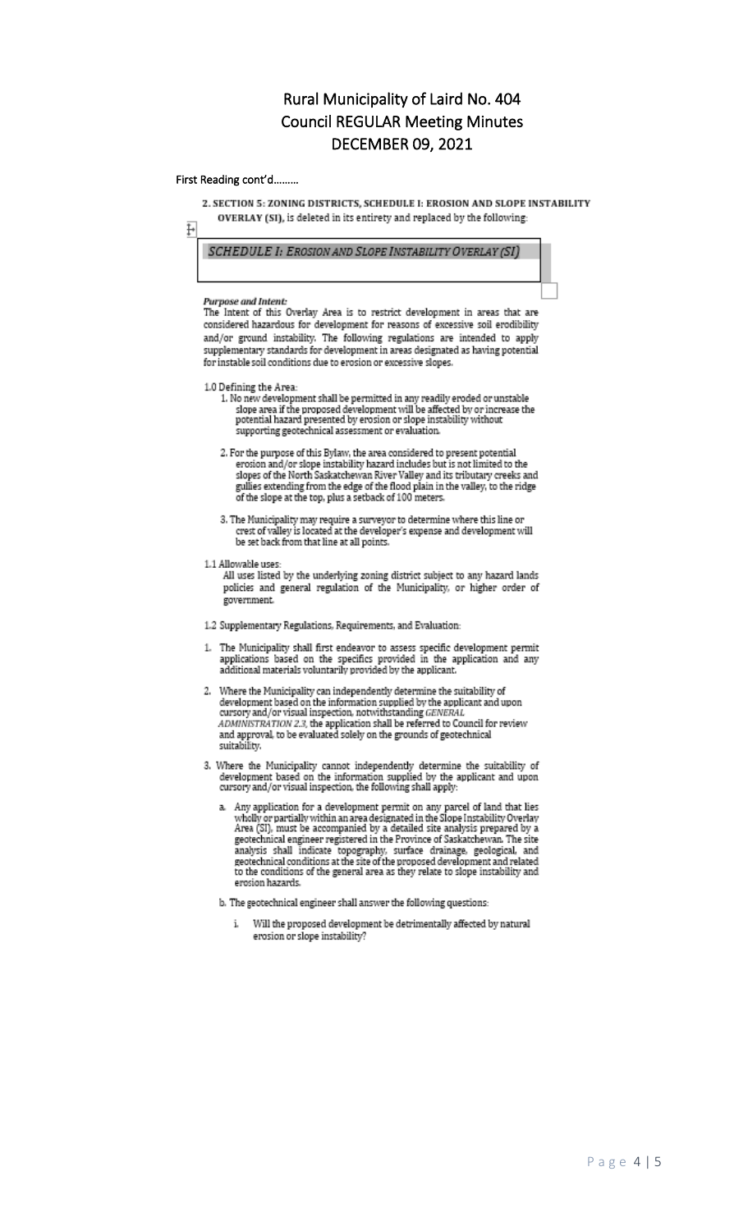## Rural Municipality of Laird No. 404 **Council REGULAR Meeting Minutes DECEMBER 09, 2021**

### First Reading cont'd.........

ŀ

2. SECTION 5: ZONING DISTRICTS, SCHEDULE I: EROSION AND SLOPE INSTABILITY

OVERLAY (SI), is deleted in its entirety and replaced by the following:

### SCHEDULE 1: EROSION AND SLOPE INSTABILITY OVERLAY (SI)

#### Purpose and Intent:

The Intent of this Overlay Area is to restrict development in areas that are considered hazardous for development for reasons of excessive soil erodibility and/or ground instability. The following regulations are intended to apply supplementary standards for development in areas designated as having potential for instable soil conditions due to erosion or excessive slopes.

#### 1.0 Defining the Area:

- 1. No new development shall be permitted in any readily eroded or unstable slope area if the proposed development will be affected by or increase the potential hazard presented by erosion or slope instability without supporting geotechnical assessment or evaluation.
- 2. For the purpose of this Bylaw, the area considered to present potential erosion and/or slope instability hazard includes but is not limited to the slopes of the North Saskatchewan River Valley and its tributary creeks and gullies extending from the edge of the flood plain in the valley, to the ridge of the slope at the top, plus a setback of 100 meters.
- 3. The Municipality may require a surveyor to determine where this line or crest of valley is located at the developer's expense and development will be set back from that line at all points.
- 1.1 Allowable uses:
	- All uses listed by the underlying zoning district subject to any hazard lands policies and general regulation of the Municipality, or higher order of .<br>government.
- 1.2 Supplementary Regulations, Requirements, and Evaluation:
- 1. The Municipality shall first endeavor to assess specific development permit applications based on the specifics provided in the application and any additional materials voluntarily provided by the applicant.
- 2. Where the Municipality can independently determine the suitability of development based on the information supplied by the applicant and upon cursory and/or visual inspection, notwithstanding GENERAL ADMINISTRATION 2.3, the application shall be referred to Council for review<br>ADMINISTRATION 2.3, the application shall be referred to Council for review<br>and approval, to be evaluated solely on the grounds of geotechnical suitability.
- 3. Where the Municipality cannot independently determine the suitability of development based on the information supplied by the applicant and upon cursory and/or visual inspection, the following shall apply
	- a. Any application for a development permit on any parcel of land that lies wholly or partially within an area designated in the Slope Instability Overlay Area (SI), must be accompanied by a detailed site analysis prepare recording a measurement of province of Saskatchewan. The site<br>analysis shall indicate topography, surface drainage, geological, and<br>geotechnical conditions at the site of the proposed development and related to the conditions of the general area as they relate to slope instability and erosion hazards.
	- b. The geotechnical engineer shall answer the following questions:
		- Will the proposed development be detrimentally affected by natural i. erosion or slope instability?